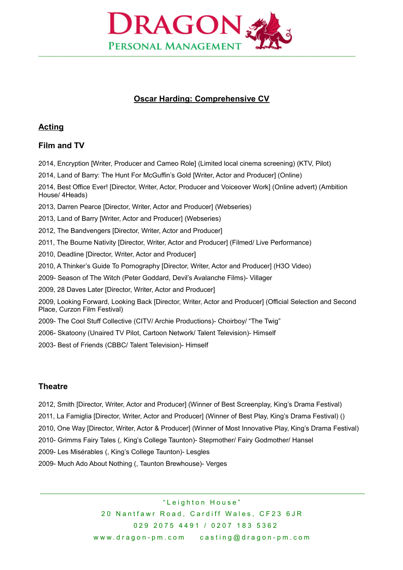

# **Oscar Harding: Comprehensive CV**

### **Acting**

## **Film and TV**

2014, Encryption [Writer, Producer and Cameo Role] (Limited local cinema screening) (KTV, Pilot)

2014, Land of Barry: The Hunt For McGuffin's Gold [Writer, Actor and Producer] (Online)

2014, Best Office Ever! [Director, Writer, Actor, Producer and Voiceover Work] (Online advert) (Ambition House/ 4Heads)

2013, Darren Pearce [Director, Writer, Actor and Producer] (Webseries)

2013, Land of Barry [Writer, Actor and Producer] (Webseries)

2012, The Bandvengers [Director, Writer, Actor and Producer]

2011, The Bourne Nativity [Director, Writer, Actor and Producer] (Filmed/ Live Performance)

2010, Deadline [Director, Writer, Actor and Producer]

2010, A Thinker's Guide To Pornography [Director, Writer, Actor and Producer] (H3O Video)

2009- Season of The Witch (Peter Goddard, Devil's Avalanche Films)- Villager

2009, 28 Daves Later [Director, Writer, Actor and Producer]

2009, Looking Forward, Looking Back [Director, Writer, Actor and Producer] (Official Selection and Second Place, Curzon Film Festival)

2009- The Cool Stuff Collective (CITV/ Archie Productions)- Choirboy/ "The Twig"

2006- Skatoony (Unaired TV Pilot, Cartoon Network/ Talent Television)- Himself

2003- Best of Friends (CBBC/ Talent Television)- Himself

### **Theatre**

 $\overline{a}$ 

2012, Smith [Director, Writer, Actor and Producer] (Winner of Best Screenplay, King's Drama Festival) 2011, La Famiglia [Director, Writer, Actor and Producer] (Winner of Best Play, King's Drama Festival) () 2010, One Way [Director, Writer, Actor & Producer] (Winner of Most Innovative Play, King's Drama Festival) 2010- Grimms Fairy Tales (, King's College Taunton)- Stepmother/ Fairy Godmother/ Hansel 2009- Les Misérables (, King's College Taunton)- Lesgles 2009- Much Ado About Nothing (, Taunton Brewhouse)- Verges

> " Leighton House" 20 Nantfawr Road, Cardiff Wales, CF23 6JR 0 2 9 2 0 7 5 4 4 9 1 / 0 2 0 7 1 8 3 5 3 6 2 www.dragon-pm.com casting@dragon-pm.com